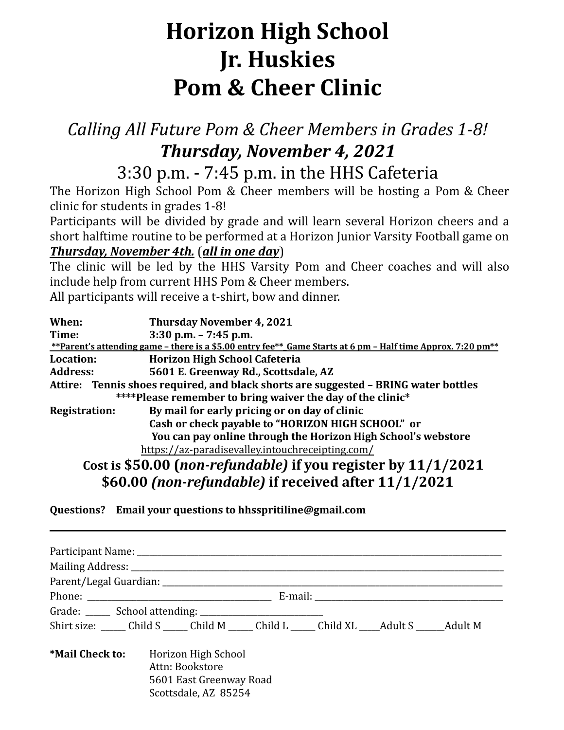## **Horizon High School Jr. Huskies Pom & Cheer Clinic**

## *Calling All Future Pom & Cheer Members in Grades 1-8! Thursday, November 4, 2021*

3:30 p.m. - 7:45 p.m. in the HHS Cafeteria

The Horizon High School Pom & Cheer members will be hosting a Pom & Cheer clinic for students in grades 1-8!

Participants will be divided by grade and will learn several Horizon cheers and a short halftime routine to be performed at a Horizon Junior Varsity Football game on *Thursday, November 4th.* (*all in one day*)

The clinic will be led by the HHS Varsity Pom and Cheer coaches and will also include help from current HHS Pom & Cheer members.

All participants will receive a t-shirt, bow and dinner.

| When:                | <b>Thursday November 4, 2021</b>                                                                            |
|----------------------|-------------------------------------------------------------------------------------------------------------|
| Time:                | $3:30$ p.m. $- 7:45$ p.m.                                                                                   |
|                      | **Parent's attending game - there is a \$5.00 entry fee** Game Starts at 6 pm - Half time Approx. 7:20 pm** |
| Location:            | <b>Horizon High School Cafeteria</b>                                                                        |
| <b>Address:</b>      | 5601 E. Greenway Rd., Scottsdale, AZ                                                                        |
|                      | Attire: Tennis shoes required, and black shorts are suggested - BRING water bottles                         |
|                      | ****Please remember to bring waiver the day of the clinic*                                                  |
| <b>Registration:</b> | By mail for early pricing or on day of clinic                                                               |
|                      | Cash or check payable to "HORIZON HIGH SCHOOL" or                                                           |
|                      | You can pay online through the Horizon High School's webstore                                               |
|                      | https://az-paradisevalley.intouchreceipting.com/                                                            |
|                      | Cost is \$50.00 (non-refundable) if you register by 11/1/2021                                               |

**\$60.00** *(non-refundable)* **if received after 11/1/2021**

**Questions? Email your questions to hhsspritiline@gmail.com**

|                 | Shirt size: Child S Child M Child L Child XL Adult S Adult M                              |  |  |  |  |  |  |
|-----------------|-------------------------------------------------------------------------------------------|--|--|--|--|--|--|
| *Mail Check to: | Horizon High School<br>Attn: Bookstore<br>5601 East Greenway Road<br>Scottsdale, AZ 85254 |  |  |  |  |  |  |